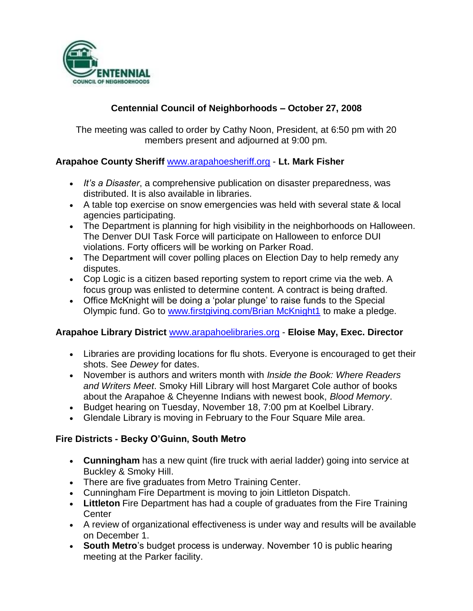

# **Centennial Council of Neighborhoods – October 27, 2008**

The meeting was called to order by Cathy Noon, President, at 6:50 pm with 20 members present and adjourned at 9:00 pm.

## **Arapahoe County Sheriff** [www.arapahoesheriff.org](http://www.arapahoesheriff.org/) - **Lt. Mark Fisher**

- *It's a Disaster*, a comprehensive publication on disaster preparedness, was distributed. It is also available in libraries.
- A table top exercise on snow emergencies was held with several state & local agencies participating.
- The Department is planning for high visibility in the neighborhoods on Halloween. The Denver DUI Task Force will participate on Halloween to enforce DUI violations. Forty officers will be working on Parker Road.
- The Department will cover polling places on Election Day to help remedy any disputes.
- Cop Logic is a citizen based reporting system to report crime via the web. A focus group was enlisted to determine content. A contract is being drafted.
- Office McKnight will be doing a 'polar plunge' to raise funds to the Special Olympic fund. Go to [www.firstgiving.com/Brian McKnight1](http://www.firstgiving.com/Brian%20McKnight1) to make a pledge.

## **Arapahoe Library District** [www.arapahoelibraries.org](http://www.arapahoelibraries.org/) - **Eloise May, Exec. Director**

- Libraries are providing locations for flu shots. Everyone is encouraged to get their shots. See *Dewey* for dates.
- November is authors and writers month with *Inside the Book: Where Readers and Writers Meet*. Smoky Hill Library will host Margaret Cole author of books about the Arapahoe & Cheyenne Indians with newest book, *Blood Memory*.
- Budget hearing on Tuesday, November 18, 7:00 pm at Koelbel Library.
- Glendale Library is moving in February to the Four Square Mile area.

# **Fire Districts - Becky O'Guinn, South Metro**

- **Cunningham** has a new quint (fire truck with aerial ladder) going into service at Buckley & Smoky Hill.
- There are five graduates from Metro Training Center.
- Cunningham Fire Department is moving to join Littleton Dispatch.
- **Littleton** Fire Department has had a couple of graduates from the Fire Training **Center**
- A review of organizational effectiveness is under way and results will be available on December 1.
- **South Metro**'s budget process is underway. November 10 is public hearing meeting at the Parker facility.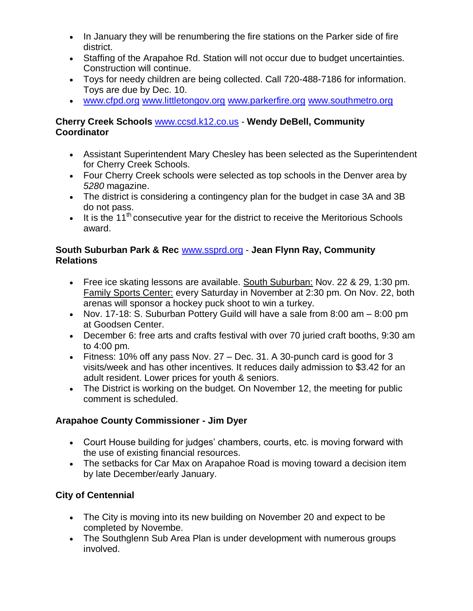- In January they will be renumbering the fire stations on the Parker side of fire district.
- Staffing of the Arapahoe Rd. Station will not occur due to budget uncertainties. Construction will continue.
- Toys for needy children are being collected. Call 720-488-7186 for information. Toys are due by Dec. 10.
- [www.cfpd.org](http://www.cfpd.org/) [www.littletongov.org](http://www.littletongov.org/) [www.parkerfire.org](http://www.parkerfire.org/) [www.southmetro.org](http://www.southmetro.org/)

## **Cherry Creek Schools** [www.ccsd.k12.co.us](http://www.ccsd.k12.co.us/) - **Wendy DeBell, Community Coordinator**

- Assistant Superintendent Mary Chesley has been selected as the Superintendent for Cherry Creek Schools.
- Four Cherry Creek schools were selected as top schools in the Denver area by *5280* magazine.
- The district is considering a contingency plan for the budget in case 3A and 3B do not pass.
- It is the 11<sup>th</sup> consecutive year for the district to receive the Meritorious Schools award.

## **South Suburban Park & Rec** [www.ssprd.org](http://www.ssprd.org/) - **Jean Flynn Ray, Community Relations**

- Free ice skating lessons are available. South Suburban: Nov. 22 & 29, 1:30 pm. Family Sports Center: every Saturday in November at 2:30 pm. On Nov. 22, both arenas will sponsor a hockey puck shoot to win a turkey.
- Nov. 17-18: S. Suburban Pottery Guild will have a sale from 8:00 am 8:00 pm at Goodsen Center.
- December 6: free arts and crafts festival with over 70 juried craft booths, 9:30 am to 4:00 pm.
- Fitness: 10% off any pass Nov. 27 Dec. 31. A 30-punch card is good for 3 visits/week and has other incentives. It reduces daily admission to \$3.42 for an adult resident. Lower prices for youth & seniors.
- The District is working on the budget. On November 12, the meeting for public comment is scheduled.

# **Arapahoe County Commissioner - Jim Dyer**

- Court House building for judges' chambers, courts, etc. is moving forward with the use of existing financial resources.
- The setbacks for Car Max on Arapahoe Road is moving toward a decision item by late December/early January.

# **City of Centennial**

- The City is moving into its new building on November 20 and expect to be completed by Novembe.
- The Southglenn Sub Area Plan is under development with numerous groups involved.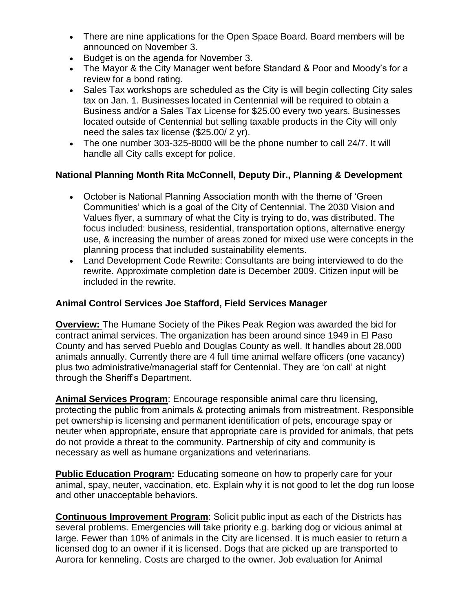- There are nine applications for the Open Space Board. Board members will be announced on November 3.
- Budget is on the agenda for November 3.
- The Mayor & the City Manager went before Standard & Poor and Moody's for a review for a bond rating.
- Sales Tax workshops are scheduled as the City is will begin collecting City sales tax on Jan. 1. Businesses located in Centennial will be required to obtain a Business and/or a Sales Tax License for \$25.00 every two years. Businesses located outside of Centennial but selling taxable products in the City will only need the sales tax license (\$25.00/ 2 yr).
- The one number 303-325-8000 will be the phone number to call 24/7. It will handle all City calls except for police.

# **National Planning Month Rita McConnell, Deputy Dir., Planning & Development**

- October is National Planning Association month with the theme of 'Green Communities' which is a goal of the City of Centennial. The 2030 Vision and Values flyer, a summary of what the City is trying to do, was distributed. The focus included: business, residential, transportation options, alternative energy use, & increasing the number of areas zoned for mixed use were concepts in the planning process that included sustainability elements.
- Land Development Code Rewrite: Consultants are being interviewed to do the rewrite. Approximate completion date is December 2009. Citizen input will be included in the rewrite.

### **Animal Control Services Joe Stafford, Field Services Manager**

**Overview:** The Humane Society of the Pikes Peak Region was awarded the bid for contract animal services. The organization has been around since 1949 in El Paso County and has served Pueblo and Douglas County as well. It handles about 28,000 animals annually. Currently there are 4 full time animal welfare officers (one vacancy) plus two administrative/managerial staff for Centennial. They are 'on call' at night through the Sheriff's Department.

**Animal Services Program**: Encourage responsible animal care thru licensing, protecting the public from animals & protecting animals from mistreatment. Responsible pet ownership is licensing and permanent identification of pets, encourage spay or neuter when appropriate, ensure that appropriate care is provided for animals, that pets do not provide a threat to the community. Partnership of city and community is necessary as well as humane organizations and veterinarians.

**Public Education Program:** Educating someone on how to properly care for your animal, spay, neuter, vaccination, etc. Explain why it is not good to let the dog run loose and other unacceptable behaviors.

**Continuous Improvement Program**: Solicit public input as each of the Districts has several problems. Emergencies will take priority e.g. barking dog or vicious animal at large. Fewer than 10% of animals in the City are licensed. It is much easier to return a licensed dog to an owner if it is licensed. Dogs that are picked up are transported to Aurora for kenneling. Costs are charged to the owner. Job evaluation for Animal